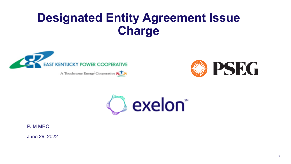# **Designated Entity Agreement Issue Charge**



A Touchstone Energy Cooperative





PJM MRC

June 29, 2022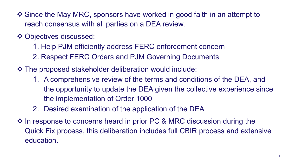- ❖ Since the May MRC, sponsors have worked in good faith in an attempt to reach consensus with all parties on a DEA review.
- ❖ Objectives discussed:
	- 1. Help PJM efficiently address FERC enforcement concern
	- 2. Respect FERC Orders and PJM Governing Documents
- $\triangle$  **The proposed stakeholder deliberation would include:** 
	- 1. A comprehensive review of the terms and conditions of the DEA, and the opportunity to update the DEA given the collective experience since the implementation of Order 1000
	- 2. Desired examination of the application of the DEA
- ❖ In response to concerns heard in prior PC & MRC discussion during the Quick Fix process, this deliberation includes full CBIR process and extensive education.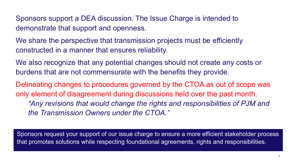Sponsors support a DEA discussion. The Issue Charge is intended to demonstrate that support and openness.

We share the perspective that transmission projects must be efficiently constructed in a manner that ensures reliability.

We also recognize that any potential changes should not create any costs or burdens that are not commensurate with the benefits they provide.

Delineating changes to procedures governed by the CTOA as out of scope was only element of disagreement during discussions held over the past month. *"Any revisions that would change the rights and responsibilities of PJM and the Transmission Owners under the CTOA."*

Sponsors request your support of our issue charge to ensure a more efficient stakeholder process that promotes solutions while respecting foundational agreements, rights and responsibilities.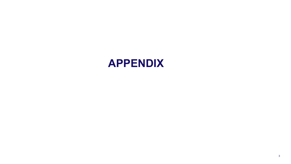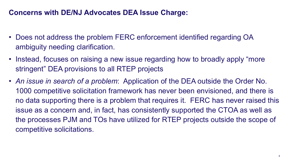### **Concerns with DE/NJ Advocates DEA Issue Charge:**

- Does not address the problem FERC enforcement identified regarding OA ambiguity needing clarification.
- Instead, focuses on raising a new issue regarding how to broadly apply "more stringent" DEA provisions to all RTEP projects
- *An issue in search of a problem*: Application of the DEA outside the Order No. 1000 competitive solicitation framework has never been envisioned, and there is no data supporting there is a problem that requires it. FERC has never raised this issue as a concern and, in fact, has consistently supported the CTOA as well as the processes PJM and TOs have utilized for RTEP projects outside the scope of competitive solicitations.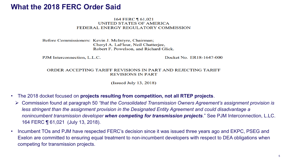### **What the 2018 FERC Order Said**

#### 164 FERC 161,021 **UNITED STATES OF AMERICA** FEDERAL ENERGY REGULATORY COMMISSION

Before Commissioners: Kevin J. McIntyre, Chairman; Cheryl A. LaFleur, Neil Chatterjee, Robert F. Powelson, and Richard Glick.

PJM Interconnection, L.L.C.

Docket No. ER18-1647-000

#### ORDER ACCEPTING TARIFF REVISIONS IN PART AND REJECTING TARIFF **REVISIONS IN PART**

(Issued July 13, 2018)

- The 2018 docket focused on **projects resulting from competition, not all RTEP projects**.
	- Ø Commission found at paragraph 50 *"that the Consolidated Transmission Owners Agreement's assignment provision is less stringent than the assignment provision in the Designated Entity Agreement and could disadvantage a nonincumbent transmission developer when competing for transmission projects*." See PJM Interconnection, L.LC. 164 FERC ¶ 61,021 (July 13, 2018).
- Incumbent TOs and PJM have respected FERC's decision since it was issued three years ago and EKPC, PSEG and Exelon are committed to ensuring equal treatment to non-incumbent developers with respect to DEA obligations when competing for transmission projects.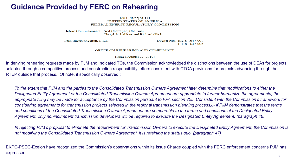### **Guidance Provided by FERC on Rehearing**

168 FERC 161,121 **UNITED STATES OF AMERICA** FEDERAL ENERGY REGULATORY COMMISSION

Before Commissioners: Neil Chatterjee, Chairman; Cheryl A. LaFleur and Richard Glick.

PJM Interconnection, L.L.C.

Docket Nos. ER18-1647-001 ER18-1647-002

ORDER ON REHEARING AND COMPLIANCE

(Issued August 27, 2019)

In denying rehearing requests made by PJM and Indicated TOs, the Commission acknowledged the distinctions between the use of DEAs for projects selected through a competitive process and construction responsibility letters consistent with CTOA provisions for projects advancing through the RTEP outside that process. Of note, it specifically observed :

*To the extent that PJM and the parties to the Consolidated Transmission Owners Agreement later determine that modifications to either the Designated Entity Agreement or the Consolidated Transmission Owners Agreement are appropriate to further harmonize the agreements, the appropriate filing may be made for acceptance by the Commission pursuant to FPA section 205. Consistent with the Commission's framework for considering agreements for transmission projects selected in the regional transmission planning process,120 if PJM demonstrates that the terms and conditions of the Consolidated Transmission Owners Agreement are comparable to the terms and conditions of the Designated Entity Agreement, only nonincumbent transmission developers will be required to execute the Designated Entity Agreement. (paragraph 46)*

*In rejecting PJM's proposal to eliminate the requirement for Transmission Owners to execute the Designated Entity Agreement, the Commission is not modifying the Consolidated Transmission Owners Agreement, it is retaining the status quo. (paragraph 47)*

Privileged and Confidential 6 EKPC-PSEG-Exelon have recognized the Commission's observations within its Issue Charge coupled with the FERC enforcement concerns PJM has expressed.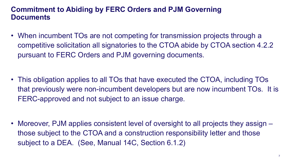### **Commitment to Abiding by FERC Orders and PJM Governing Documents**

- When incumbent TOs are not competing for transmission projects through a competitive solicitation all signatories to the CTOA abide by CTOA section 4.2.2 pursuant to FERC Orders and PJM governing documents.
- This obligation applies to all TOs that have executed the CTOA, including TOs that previously were non-incumbent developers but are now incumbent TOs. It is FERC-approved and not subject to an issue charge.

• Moreover, PJM applies consistent level of oversight to all projects they assign – those subject to the CTOA and a construction responsibility letter and those subject to a DEA. (See, Manual 14C, Section 6.1.2)